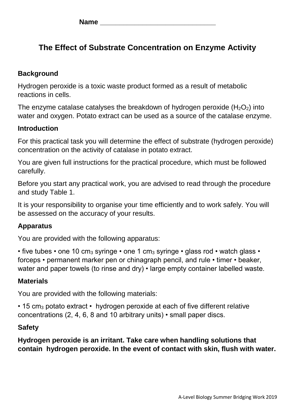**Name \_\_\_\_\_\_\_\_\_\_\_\_\_\_\_\_\_\_\_\_\_\_\_\_\_\_\_\_\_\_**

# **The Effect of Substrate Concentration on Enzyme Activity**

### **Background**

Hydrogen peroxide is a toxic waste product formed as a result of metabolic reactions in cells.

The enzyme catalase catalyses the breakdown of hydrogen peroxide  $(H_2O_2)$  into water and oxygen. Potato extract can be used as a source of the catalase enzyme.

### **Introduction**

For this practical task you will determine the effect of substrate (hydrogen peroxide) concentration on the activity of catalase in potato extract.

You are given full instructions for the practical procedure, which must be followed carefully.

Before you start any practical work, you are advised to read through the procedure and study Table 1.

It is your responsibility to organise your time efficiently and to work safely. You will be assessed on the accuracy of your results.

## **Apparatus**

You are provided with the following apparatus:

• five tubes • one 10 cm<sub>3</sub> syringe • one 1 cm<sub>3</sub> syringe • glass rod • watch glass • forceps • permanent marker pen or chinagraph pencil, and rule • timer • beaker, water and paper towels (to rinse and dry) • large empty container labelled waste.

### **Materials**

You are provided with the following materials:

• 15 cm<sub>3</sub> potato extract • hydrogen peroxide at each of five different relative concentrations (2, 4, 6, 8 and 10 arbitrary units) • small paper discs.

### **Safety**

**Hydrogen peroxide is an irritant. Take care when handling solutions that contain hydrogen peroxide. In the event of contact with skin, flush with water.**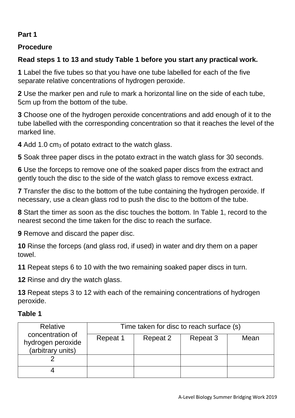## **Part 1**

## **Procedure**

## **Read steps 1 to 13 and study Table 1 before you start any practical work.**

**1** Label the five tubes so that you have one tube labelled for each of the five separate relative concentrations of hydrogen peroxide.

**2** Use the marker pen and rule to mark a horizontal line on the side of each tube, 5cm up from the bottom of the tube.

**3** Choose one of the hydrogen peroxide concentrations and add enough of it to the tube labelled with the corresponding concentration so that it reaches the level of the marked line.

**4** Add 1.0 cm<sub>3</sub> of potato extract to the watch glass.

**5** Soak three paper discs in the potato extract in the watch glass for 30 seconds.

**6** Use the forceps to remove one of the soaked paper discs from the extract and gently touch the disc to the side of the watch glass to remove excess extract.

**7** Transfer the disc to the bottom of the tube containing the hydrogen peroxide. If necessary, use a clean glass rod to push the disc to the bottom of the tube.

**8** Start the timer as soon as the disc touches the bottom. In Table 1, record to the nearest second the time taken for the disc to reach the surface.

**9** Remove and discard the paper disc.

**10** Rinse the forceps (and glass rod, if used) in water and dry them on a paper towel.

**11** Repeat steps 6 to 10 with the two remaining soaked paper discs in turn.

**12** Rinse and dry the watch glass.

**13** Repeat steps 3 to 12 with each of the remaining concentrations of hydrogen peroxide.

## **Table 1**

| Relative                                                   | Time taken for disc to reach surface (s) |          |          |      |
|------------------------------------------------------------|------------------------------------------|----------|----------|------|
| concentration of<br>hydrogen peroxide<br>(arbitrary units) | Repeat 1                                 | Repeat 2 | Repeat 3 | Mean |
|                                                            |                                          |          |          |      |
|                                                            |                                          |          |          |      |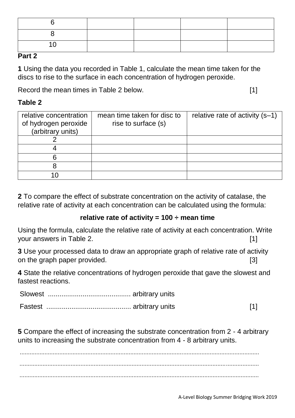### **Part 2**

**1** Using the data you recorded in Table 1, calculate the mean time taken for the discs to rise to the surface in each concentration of hydrogen peroxide.

Record the mean times in Table 2 below. **Example 2** below.

### **Table 2**

| relative concentration<br>of hydrogen peroxide<br>(arbitrary units) | mean time taken for disc to<br>rise to surface (s) | relative rate of activity (s-1) |
|---------------------------------------------------------------------|----------------------------------------------------|---------------------------------|
|                                                                     |                                                    |                                 |
|                                                                     |                                                    |                                 |
| 6                                                                   |                                                    |                                 |
|                                                                     |                                                    |                                 |
|                                                                     |                                                    |                                 |

**2** To compare the effect of substrate concentration on the activity of catalase, the relative rate of activity at each concentration can be calculated using the formula:

### **relative rate of activity = 100 ÷ mean time**

Using the formula, calculate the relative rate of activity at each concentration. Write your answers in Table 2. [1]

**3** Use your processed data to draw an appropriate graph of relative rate of activity on the graph paper provided. [3]

**4** State the relative concentrations of hydrogen peroxide that gave the slowest and fastest reactions.

Slowest ........................................... arbitrary units

|--|--|--|

**5** Compare the effect of increasing the substrate concentration from 2 - 4 arbitrary units to increasing the substrate concentration from 4 - 8 arbitrary units.

................................................................................................................................................. ................................................................................................................................................. .................................................................................................................................................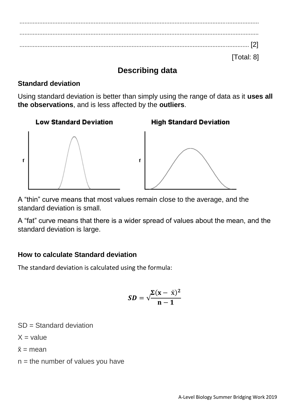................................................................................................................................................. ................................................................................................................................................. ........................................................................................................................................... [2] [Total: 8]

## **Describing data**

## **Standard deviation**

 $\mathbf f$ 

Using standard deviation is better than simply using the range of data as it **uses all the observations**, and is less affected by the **outliers**.



**High Standard Deviation** 



A "thin" curve means that most values remain close to the average, and the standard deviation is small.

A "fat" curve means that there is a wider spread of values about the mean, and the standard deviation is large.

## **How to calculate Standard deviation**

The standard deviation is calculated using the formula:

$$
SD = \sqrt{\frac{\Sigma(x - \bar{x})^2}{n - 1}}
$$

SD = Standard deviation

 $X =$ value

 $\bar{x}$  = mean

 $n =$  the number of values you have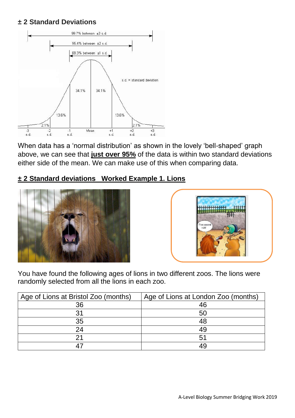### **± 2 Standard Deviations**



When data has a 'normal distribution' as shown in the lovely 'bell-shaped' graph above, we can see that **just over 95%** of the data is within two standard deviations either side of the mean. We can make use of this when comparing data.

### **± 2 Standard deviations Worked Example 1. Lions**





You have found the following ages of lions in two different zoos. The lions were randomly selected from all the lions in each zoo.

| Age of Lions at Bristol Zoo (months) | Age of Lions at London Zoo (months) |
|--------------------------------------|-------------------------------------|
| 36                                   | 46                                  |
| 31                                   | 50                                  |
| 35                                   | 48                                  |
| 24                                   | 49                                  |
|                                      | 51                                  |
|                                      | 49                                  |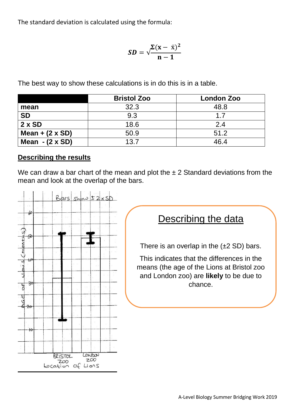The standard deviation is calculated using the formula:

$$
\textit{SD} = \sqrt{\frac{\Sigma(x-\bar{x})^2}{n-1}}
$$

The best way to show these calculations is in do this is in a table.

|                       | <b>Bristol Zoo</b> | <b>London Zoo</b> |
|-----------------------|--------------------|-------------------|
| mean                  | 32.3               | 48.8              |
| <b>SD</b>             | 9.3                | 17                |
| $2 \times SD$         | 18.6               | 2.4               |
| Mean $+$ (2 x SD)     | 50.9               | 51.2              |
| Mean $-(2 \times SD)$ | 13.7               | 46.4              |

#### **Describing the results**

We can draw a bar chart of the mean and plot the  $\pm$  2 Standard deviations from the mean and look at the overlap of the bars.